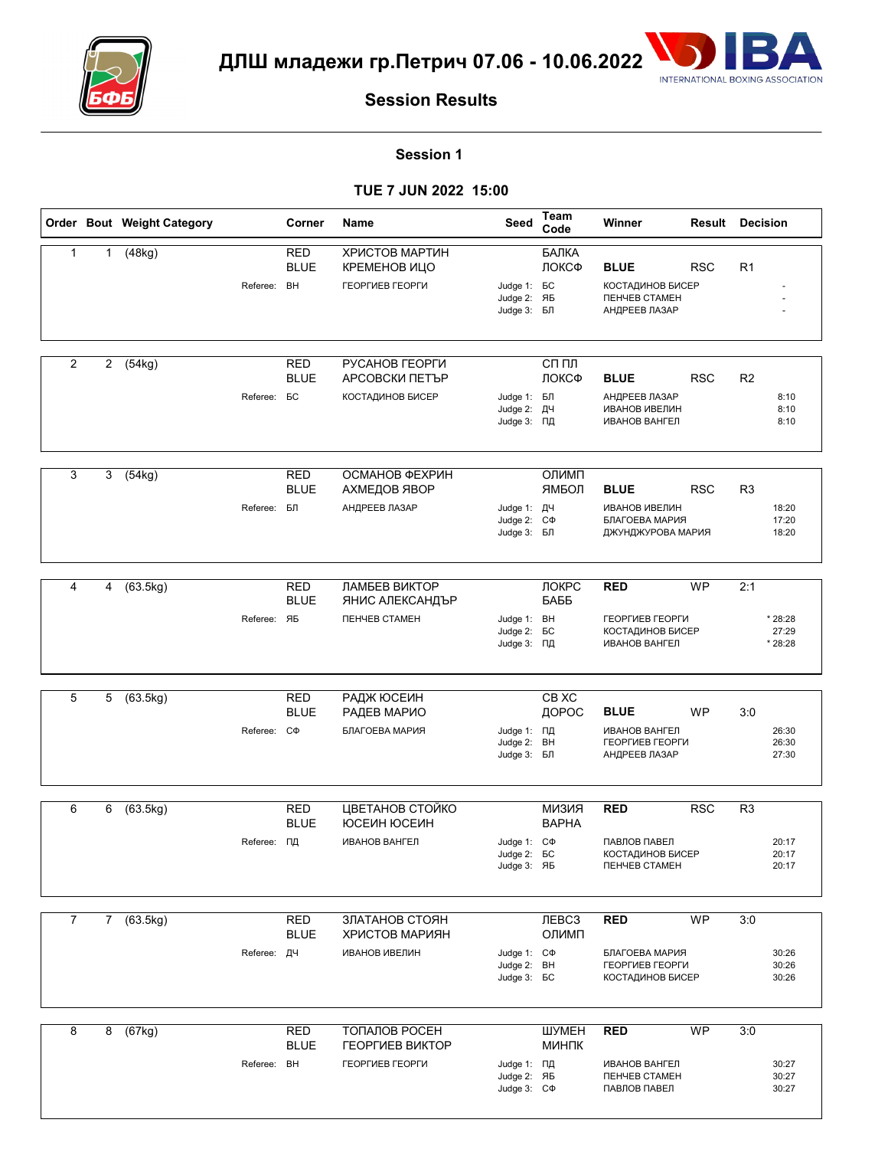



#### **Session 1**

|                |                | Order Bout Weight Category |                    | Corner                    | Name                                                        | Seed                                                   | Team<br>Code                 | Winner                                                                                 | Result<br><b>Decision</b> |                |                             |
|----------------|----------------|----------------------------|--------------------|---------------------------|-------------------------------------------------------------|--------------------------------------------------------|------------------------------|----------------------------------------------------------------------------------------|---------------------------|----------------|-----------------------------|
| $\mathbf{1}$   | $\mathbf{1}$   | (48kg)                     | Referee: BH        | RED<br><b>BLUE</b>        | ХРИСТОВ МАРТИН<br>КРЕМЕНОВ ИЦО<br>ГЕОРГИЕВ ГЕОРГИ           | Judge 1: <b>BC</b><br>Judge 2: ЯБ<br>Judge 3: БЛ       | БАЛКА<br>ЛОКСФ               | <b>BLUE</b><br><b>КОСТАДИНОВ БИСЕР</b><br><b><i>ΠΕΗΥΕΒ CTAMEH</i></b><br>АНДРЕЕВ ЛАЗАР | <b>RSC</b>                | R <sub>1</sub> |                             |
| $\overline{2}$ | $\overline{2}$ | (54kg)                     | Referee: <b>BC</b> | <b>RED</b><br><b>BLUE</b> | РУСАНОВ ГЕОРГИ<br>АРСОВСКИ ПЕТЪР<br><b>КОСТАДИНОВ БИСЕР</b> | Judge 1: БЛ<br>Judge 2: ДЧ<br>Judge 3: ПД              | $CII$ $\PiII$<br>ЛОКСФ       | <b>BLUE</b><br>АНДРЕЕВ ЛАЗАР<br><b>ИВАНОВ ИВЕЛИН</b><br><b>ИВАНОВ ВАНГЕЛ</b>           | <b>RSC</b>                | R <sub>2</sub> | 8:10<br>8:10<br>8:10        |
| 3              | 3              | (54kg)                     | Referee: БЛ        | <b>RED</b><br><b>BLUE</b> | ОСМАНОВ ФЕХРИН<br>АХМЕДОВ ЯВОР<br>АНДРЕЕВ ЛАЗАР             | Judge 1: ДЧ<br>Judge 2: C $\Phi$<br>Judge 3: БЛ        | ОЛИМП<br>ЯМБОЛ               | <b>BLUE</b><br><b>ИВАНОВ ИВЕЛИН</b><br>БЛАГОЕВА МАРИЯ<br>ДЖУНДЖУРОВА МАРИЯ             | <b>RSC</b>                | R <sub>3</sub> | 18:20<br>17:20<br>18:20     |
| 4              | 4              | (63.5kg)                   | Referee: ЯБ        | <b>RED</b><br><b>BLUE</b> | ЛАМБЕВ ВИКТОР<br>ЯНИС АЛЕКСАНДЪР<br>ПЕНЧЕВ СТАМЕН           | Judge 1: BH<br>Judge 2: <b>BC</b><br>Judge 3: ПД       | ЛОКРС<br>БАББ                | <b>RED</b><br>ГЕОРГИЕВ ГЕОРГИ<br><b>КОСТАДИНОВ БИСЕР</b><br><b>ИВАНОВ ВАНГЕЛ</b>       | <b>WP</b>                 | 2:1            | * 28:28<br>27:29<br>* 28:28 |
| 5              | 5              | (63.5kg)                   | Referee: C $\Phi$  | <b>RED</b><br><b>BLUE</b> | РАДЖ ЮСЕИН<br>РАДЕВ МАРИО<br>БЛАГОЕВА МАРИЯ                 | Judge 1: ПД<br>Judge 2: BH<br>Judge 3: БЛ              | CB XC<br>ДОРОС               | <b>BLUE</b><br><b>ИВАНОВ ВАНГЕЛ</b><br>ГЕОРГИЕВ ГЕОРГИ<br>АНДРЕЕВ ЛАЗАР                | <b>WP</b>                 | 3:0            | 26:30<br>26:30<br>27:30     |
| 6              | 6              | (63.5kg)                   | Referee: ПД        | <b>RED</b><br><b>BLUE</b> | ЦВЕТАНОВ СТОЙКО<br>ЮСЕИН ЮСЕИН<br>ИВАНОВ ВАНГЕЛ             | Judge 1: C $\Phi$<br>Judge 2: <b>6C</b><br>Judge 3: ЯБ | <b>КИЗИЯ</b><br><b>BAPHA</b> | <b>RED</b><br>ПАВЛОВ ПАВЕЛ<br>КОСТАДИНОВ БИСЕР<br><b><i>ΠΕΗΥΕΒ CTAMEH</i></b>          | <b>RSC</b>                | R <sub>3</sub> | 20:17<br>20:17<br>20:17     |
| $\overline{7}$ |                | 7(63.5kg)                  | Referee: ДЧ        | <b>RED</b><br><b>BLUE</b> | ЗЛАТАНОВ СТОЯН<br>ХРИСТОВ МАРИЯН<br><b>ИВАНОВ ИВЕЛИН</b>    | Judge 1: C $\Phi$<br>Judge 2: BH<br>Judge 3: <b>6C</b> | ЛEBC <sub>3</sub><br>ОЛИМП   | <b>RED</b><br>БЛАГОЕВА МАРИЯ<br>ГЕОРГИЕВ ГЕОРГИ<br><b>КОСТАДИНОВ БИСЕР</b>             | <b>WP</b>                 | 3:0            | 30:26<br>30:26<br>30:26     |
| 8              |                | 8(67kg)                    | Referee: BH        | <b>RED</b><br><b>BLUE</b> | ТОПАЛОВ РОСЕН<br>ГЕОРГИЕВ ВИКТОР<br>ГЕОРГИЕВ ГЕОРГИ         | Judge 1: ПД<br>Judge 2: ЯБ<br>Judge 3: C $\Phi$        | ШУМЕН<br>МИНПК               | <b>RED</b><br>ИВАНОВ ВАНГЕЛ<br><b><i>ΠΕΗΥΕΒ CTAMEH</i></b><br>ПАВЛОВ ПАВЕЛ             | <b>WP</b>                 | 3:0            | 30:27<br>30:27<br>30:27     |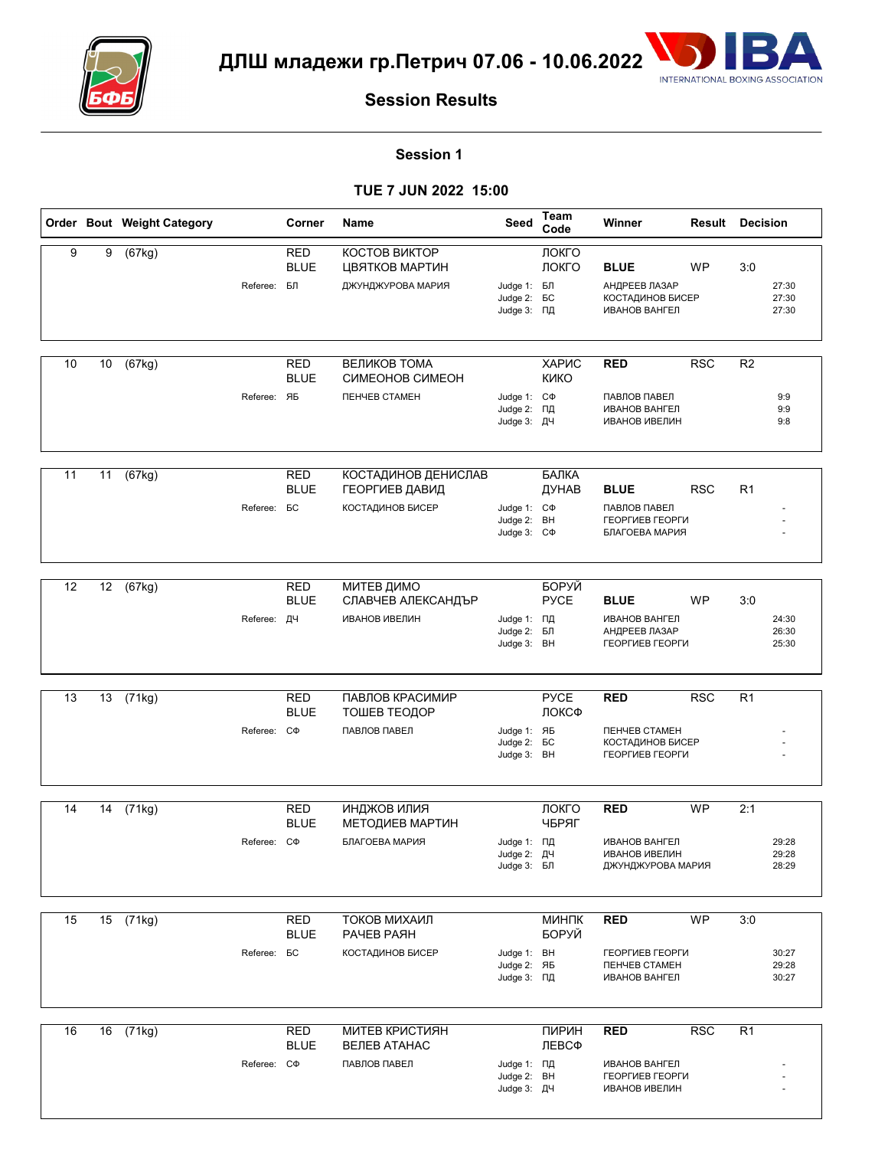



#### **Session 1**

|    |    | Order Bout Weight Category |                    | Corner                               | Name                                                             | Seed                                                  | Team<br>Code         | Winner                                                                                  | <b>Result Decision</b> |                |                         |
|----|----|----------------------------|--------------------|--------------------------------------|------------------------------------------------------------------|-------------------------------------------------------|----------------------|-----------------------------------------------------------------------------------------|------------------------|----------------|-------------------------|
| 9  | 9  | (67kg)                     | Referee: БЛ        | <b>RED</b><br><b>BLUE</b>            | КОСТОВ ВИКТОР<br>ЦВЯТКОВ МАРТИН<br>ДЖУНДЖУРОВА МАРИЯ             | Judge 1: БЛ<br>Judge 2: <b>6C</b><br>Judge 3: ПД      | ЛОКГО<br>ЛОКГО       | <b>BLUE</b><br>АНДРЕЕВ ЛАЗАР<br>КОСТАДИНОВ БИСЕР<br><b>ИВАНОВ ВАНГЕЛ</b>                | WP                     | 3:0            | 27:30<br>27:30<br>27:30 |
| 10 | 10 | (67kg)                     | Referee: ЯБ        | <b>RED</b><br><b>BLUE</b>            | ВЕЛИКОВ ТОМА<br>СИМЕОНОВ СИМЕОН<br><b><i>ΠΕΗΥΕΒ CTAMEH</i></b>   | Judge 1: C $\Phi$<br>Judge 2: ПД<br>Judge 3: ДЧ       | ХАРИС<br><b>KNKO</b> | <b>RED</b><br>ПАВЛОВ ПАВЕЛ<br><b>ИВАНОВ ВАНГЕЛ</b><br><b>ИВАНОВ ИВЕЛИН</b>              | <b>RSC</b>             | R <sub>2</sub> | 9:9<br>9:9<br>9:8       |
| 11 | 11 | (67kg)                     | Referee: <b>BC</b> | <b>RED</b><br><b>BLUE</b>            | КОСТАДИНОВ ДЕНИСЛАВ<br>ГЕОРГИЕВ ДАВИД<br><b>КОСТАДИНОВ БИСЕР</b> | Judge 1: C $\Phi$<br>Judge 2: BH<br>Judge 3: C $\Phi$ | БАЛКА<br>ДУНАВ       | <b>BLUE</b><br>ПАВЛОВ ПАВЕЛ<br>ГЕОРГИЕВ ГЕОРГИ<br>БЛАГОЕВА МАРИЯ                        | <b>RSC</b>             | R <sub>1</sub> |                         |
| 12 | 12 | (67kg)                     | Referee:           | RED<br><b>BLUE</b><br>ДЧ             | <b>МИТЕВ ДИМО</b><br>СЛАВЧЕВ АЛЕКСАНДЪР<br><b>ИВАНОВ ИВЕЛИН</b>  | Judge 1: ПД<br>Judge 2: БЛ<br>Judge 3: BH             | БОРУЙ<br><b>PYCE</b> | <b>BLUE</b><br><b>ИВАНОВ ВАНГЕЛ</b><br>АНДРЕЕВ ЛАЗАР<br>ГЕОРГИЕВ ГЕОРГИ                 | <b>WP</b>              | 3:0            | 24:30<br>26:30<br>25:30 |
| 13 | 13 | (71kg)                     | Referee:           | <b>RED</b><br><b>BLUE</b><br>$C\Phi$ | ПАВЛОВ КРАСИМИР<br>ТОШЕВ ТЕОДОР<br>ПАВЛОВ ПАВЕЛ                  | Judge 1: ЯБ<br>Judge 2: <b>BC</b><br>Judge 3: BH      | <b>PYCE</b><br>ЛОКСФ | <b>RED</b><br><b><i><u>TEHYEB CTAMEH</u></i></b><br>КОСТАДИНОВ БИСЕР<br>ГЕОРГИЕВ ГЕОРГИ | <b>RSC</b>             | R1             |                         |
| 14 | 14 | (71kg)                     | Referee: C $\Phi$  | <b>RED</b><br><b>BLUE</b>            | ИНДЖОВ ИЛИЯ<br><b>МЕТОДИЕВ МАРТИН</b><br>БЛАГОЕВА МАРИЯ          | Judge 1: ПД<br>Judge 2: ДЧ<br>Judge 3: БЛ             | ЛОКГО<br>ЧБРЯГ       | <b>RED</b><br><b>ИВАНОВ ВАНГЕЛ</b><br>ИВАНОВ ИВЕЛИН<br>ДЖУНДЖУРОВА МАРИЯ                | <b>WP</b>              | 2:1            | 29:28<br>29:28<br>28:29 |
| 15 |    | $15$ (71kg)                | Referee: <b>BC</b> | <b>RED</b><br><b>BLUE</b>            | ТОКОВ МИХАИЛ<br><b>PAYEB PASH</b><br><b>КОСТАДИНОВ БИСЕР</b>     | Judge 1: BH<br>Judge 2: ЯБ<br>Judge 3: ПД             | МИНПК<br>БОРУЙ       | <b>RED</b><br>ГЕОРГИЕВ ГЕОРГИ<br><b><i>ΠΕΗΥΕΒ CTAMEH</i></b><br><b>ИВАНОВ ВАНГЕЛ</b>    | <b>WP</b>              | 3:0            | 30:27<br>29:28<br>30:27 |
| 16 |    | 16 (71kg)                  | Referee: C $\Phi$  | RED<br><b>BLUE</b>                   | <b>МИТЕВ КРИСТИЯН</b><br><b>ВЕЛЕВ АТАНАС</b><br>ПАВЛОВ ПАВЕЛ     | Judge 1: ПД<br>Judge 2: BH<br>Judge 3: ДЧ             | ПИРИН<br>ЛЕВСФ       | <b>RED</b><br>ИВАНОВ ВАНГЕЛ<br>ГЕОРГИЕВ ГЕОРГИ<br>ИВАНОВ ИВЕЛИН                         | <b>RSC</b>             | R <sub>1</sub> |                         |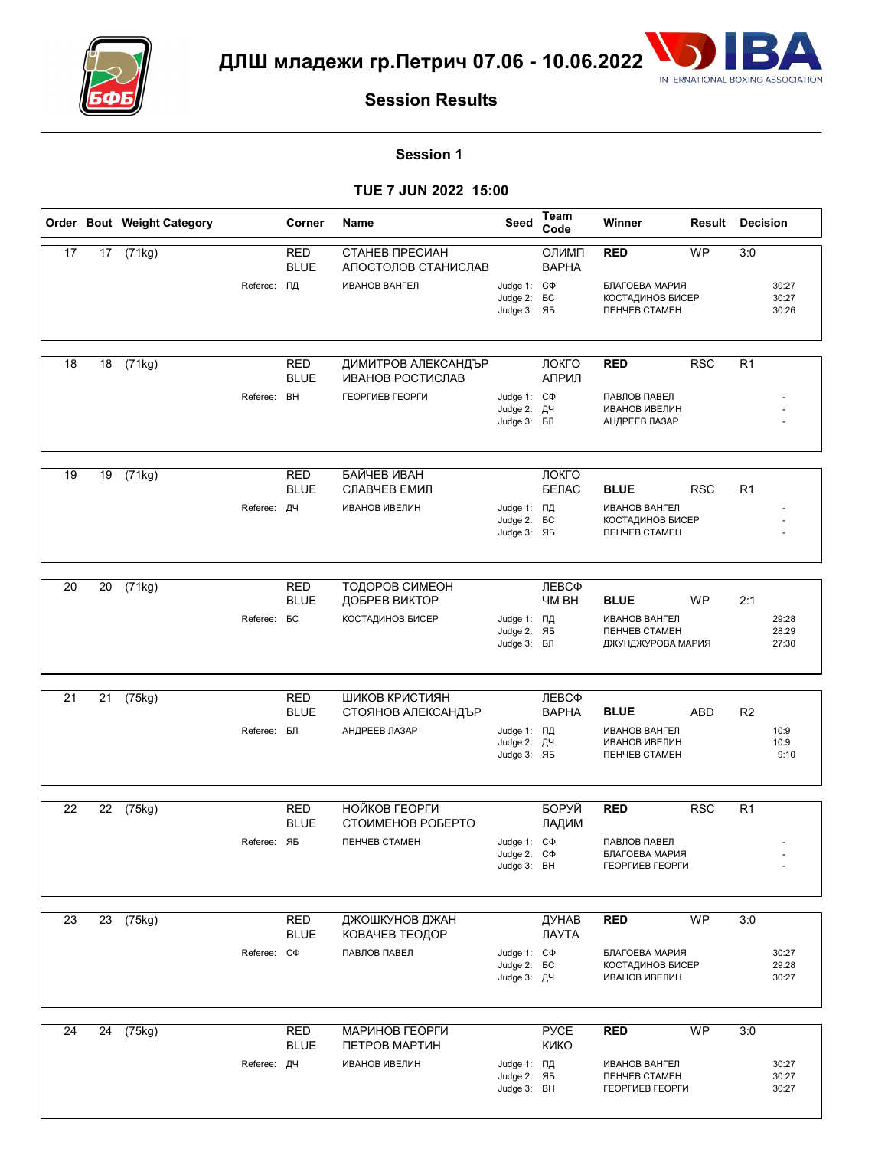



#### **Session 1**

|    |    | Order Bout Weight Category |                   | Corner                    | Name                                     | Seed                                                   | Team<br>Code               | Winner                                                                                         | Result     | <b>Decision</b> |                         |
|----|----|----------------------------|-------------------|---------------------------|------------------------------------------|--------------------------------------------------------|----------------------------|------------------------------------------------------------------------------------------------|------------|-----------------|-------------------------|
| 17 |    | 17 (71kg)                  |                   | RED<br><b>BLUE</b>        | СТАНЕВ ПРЕСИАН<br>АПОСТОЛОВ СТАНИСЛАВ    |                                                        | ОЛИМП<br><b>BAPHA</b>      | <b>RED</b>                                                                                     | <b>WP</b>  | 3:0             |                         |
|    |    |                            | Referee: ПД       |                           | <b>ИВАНОВ ВАНГЕЛ</b>                     | Judge 1: C $\Phi$<br>Judge 2: <b>BC</b><br>Judge 3: ЯБ |                            | БЛАГОЕВА МАРИЯ<br><b>КОСТАДИНОВ БИСЕР</b><br><b><i><u>TEHYEB CTAMEH</u></i></b>                |            |                 | 30:27<br>30:27<br>30:26 |
| 18 | 18 | (71kg)                     |                   | <b>RED</b><br><b>BLUE</b> | ДИМИТРОВ АЛЕКСАНДЪР<br>ИВАНОВ РОСТИСЛАВ  |                                                        | ЛОКГО<br>АПРИЛ             | <b>RED</b>                                                                                     | <b>RSC</b> | R <sub>1</sub>  |                         |
|    |    |                            | Referee:          | BH                        | ГЕОРГИЕВ ГЕОРГИ                          | Judge 1: C $\Phi$<br>Judge 2: ДЧ<br>Judge 3: БЛ        |                            | ПАВЛОВ ПАВЕЛ<br><b>ИВАНОВ ИВЕЛИН</b><br>АНДРЕЕВ ЛАЗАР                                          |            |                 |                         |
| 19 | 19 | (71kg)                     |                   | <b>RED</b>                | БАЙЧЕВ ИВАН                              |                                                        | ЛОКГО                      |                                                                                                |            |                 |                         |
|    |    |                            | Referee: ДЧ       | <b>BLUE</b>               | СЛАВЧЕВ ЕМИЛ<br><b>ИВАНОВ ИВЕЛИН</b>     | Judge 1: ПД<br>Judge 2: <b>BC</b><br>Judge 3: ЯБ       | БЕЛАС                      | <b>BLUE</b><br><b>ИВАНОВ ВАНГЕЛ</b><br>КОСТАДИНОВ БИСЕР<br><b><i><u>TEHYEB CTAMEH</u></i></b>  | <b>RSC</b> | R <sub>1</sub>  |                         |
| 20 | 20 | (71kg)                     |                   | RED                       | ТОДОРОВ СИМЕОН                           |                                                        | ЛЕВСФ                      |                                                                                                |            |                 |                         |
|    |    |                            | Referee:          | <b>BLUE</b><br>БC         | ДОБРЕВ ВИКТОР<br><b>КОСТАДИНОВ БИСЕР</b> | Judge 1: ПД<br>Judge 2: ЯБ<br>Judge 3: БЛ              | <b>HM BH</b>               | <b>BLUE</b><br><b>ИВАНОВ ВАНГЕЛ</b><br><b><i><u>TEHYEB CTAMEH</u></i></b><br>ДЖУНДЖУРОВА МАРИЯ | WP         | 2:1             | 29:28<br>28:29<br>27:30 |
| 21 | 21 | (75kg)                     |                   | <b>RED</b>                | ШИКОВ КРИСТИЯН                           |                                                        | ЛЕВСФ                      |                                                                                                |            |                 |                         |
|    |    |                            | Referee:          | <b>BLUE</b><br>БЛ         | СТОЯНОВ АЛЕКСАНДЪР<br>АНДРЕЕВ ЛАЗАР      | Judge 1: ПД<br>Judge 2: ДЧ<br>Judge 3: ЯБ              | <b>BAPHA</b>               | <b>BLUE</b><br><b>ИВАНОВ ВАНГЕЛ</b><br>ИВАНОВ ИВЕЛИН<br><b><i><u>TEHYEB CTAMEH</u></i></b>     | ABD        | R <sub>2</sub>  | 10:9<br>10:9<br>9:10    |
| 22 | 22 | (75kg)                     |                   | <b>RED</b><br><b>BLUE</b> | НОЙКОВ ГЕОРГИ<br>СТОИМЕНОВ РОБЕРТО       |                                                        | БОРУЙ                      | <b>RED</b>                                                                                     | <b>RSC</b> | R <sub>1</sub>  |                         |
|    |    |                            | Referee: ЯБ       |                           | <b><i><u>NEHYEB CTAMEH</u></i></b>       | Judge 1: C $\Phi$<br>Judge 2: $C\Phi$<br>Judge 3: BH   | ЛАДИМ                      | ПАВЛОВ ПАВЕЛ<br>БЛАГОЕВА МАРИЯ<br>ГЕОРГИЕВ ГЕОРГИ                                              |            |                 |                         |
| 23 |    | 23 (75kg)                  |                   | <b>RED</b><br><b>BLUE</b> | ДЖОШКУНОВ ДЖАН<br>КОВАЧЕВ ТЕОДОР         |                                                        | ДУНАВ<br>ЛАУТА             | <b>RED</b>                                                                                     | <b>WP</b>  | 3:0             |                         |
|    |    |                            | Referee: C $\Phi$ |                           | ПАВЛОВ ПАВЕЛ                             | Judge 1: C $\Phi$<br>Judge 2: <b>BC</b><br>Judge 3: ДЧ |                            | БЛАГОЕВА МАРИЯ<br>КОСТАДИНОВ БИСЕР<br>ИВАНОВ ИВЕЛИН                                            |            |                 | 30:27<br>29:28<br>30:27 |
| 24 | 24 | (75kg)                     |                   | RED<br><b>BLUE</b>        | МАРИНОВ ГЕОРГИ<br>ПЕТРОВ МАРТИН          |                                                        | <b>PYCE</b><br><b>KNKO</b> | <b>RED</b>                                                                                     | <b>WP</b>  | 3:0             |                         |
|    |    |                            | Referee: ДЧ       |                           | <b>ИВАНОВ ИВЕЛИН</b>                     | Judge 1: ПД<br>Judge 2: ЯБ<br>Judge 3: BH              |                            | ИВАНОВ ВАНГЕЛ<br><b><i>ΠΕΗΥΕΒ CTAMEH</i></b><br>ГЕОРГИЕВ ГЕОРГИ                                |            |                 | 30:27<br>30:27<br>30:27 |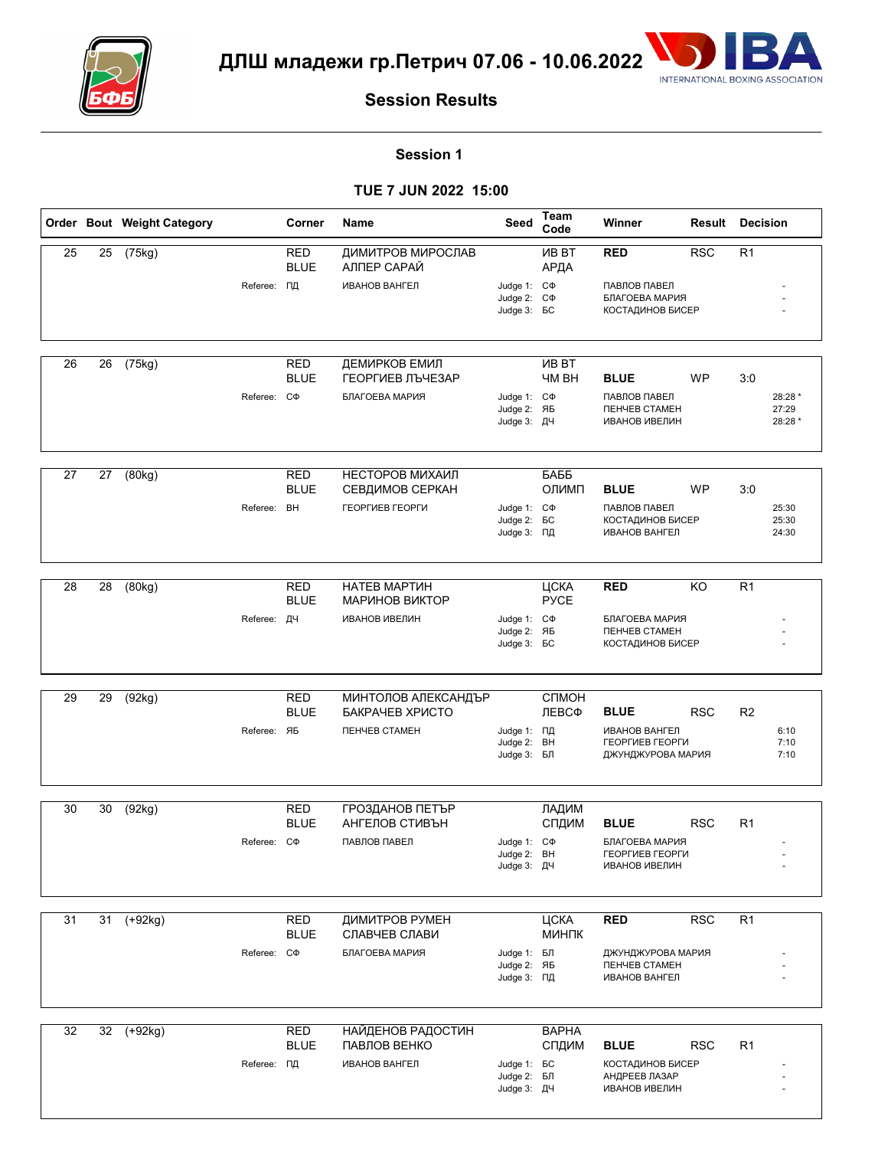



#### **Session 1**

|                 |    | Order Bout Weight Category |                   | Corner                    | Name                                   | Seed                                                         | Team<br>Code                  | Winner                                                                     | Result     | <b>Decision</b> |                             |
|-----------------|----|----------------------------|-------------------|---------------------------|----------------------------------------|--------------------------------------------------------------|-------------------------------|----------------------------------------------------------------------------|------------|-----------------|-----------------------------|
| 25              | 25 | (75kg)                     |                   | RED<br><b>BLUE</b>        | ДИМИТРОВ МИРОСЛАВ<br>АЛПЕР САРАЙ       |                                                              | <b>VIB BT</b><br>АРДА         | <b>RED</b>                                                                 | <b>RSC</b> | R <sub>1</sub>  |                             |
|                 |    |                            | Referee: ПД       |                           | <b>ИВАНОВ ВАНГЕЛ</b>                   | Judge 1: C $\Phi$<br>Judge 2: C $\Phi$<br>Judge 3: <b>BC</b> |                               | ПАВЛОВ ПАВЕЛ<br>БЛАГОЕВА МАРИЯ<br><b>КОСТАДИНОВ БИСЕР</b>                  |            |                 |                             |
|                 |    |                            |                   |                           |                                        |                                                              |                               |                                                                            |            |                 |                             |
| 26              | 26 | (75kg)                     |                   | <b>RED</b><br><b>BLUE</b> | ДЕМИРКОВ ЕМИЛ<br>ГЕОРГИЕВ ЛЪЧЕЗАР      |                                                              | <b>VIB BT</b><br><b>HM BH</b> | <b>BLUE</b>                                                                | WP         | 3:0             |                             |
|                 |    |                            | Referee:          | CФ                        | БЛАГОЕВА МАРИЯ                         | Judge 1: C $\Phi$<br>Judge 2: ЯБ<br>Judge 3: ДЧ              |                               | ПАВЛОВ ПАВЕЛ<br><b><i><u>TEHYEB CTAMEH</u></i></b><br><b>ИВАНОВ ИВЕЛИН</b> |            |                 | 28:28 *<br>27:29<br>28:28 * |
|                 |    |                            |                   |                           |                                        |                                                              |                               |                                                                            |            |                 |                             |
| 27              | 27 | (80kg)                     |                   | <b>RED</b><br><b>BLUE</b> | НЕСТОРОВ МИХАИЛ<br>СЕВДИМОВ СЕРКАН     |                                                              | БАББ<br>ОЛИМП                 | <b>BLUE</b>                                                                | <b>WP</b>  | 3:0             |                             |
|                 |    |                            | Referee: BH       |                           | ГЕОРГИЕВ ГЕОРГИ                        | Judge 1: C $\Phi$<br>Judge 2: <b>6C</b><br>Judge 3: ПД       |                               | ПАВЛОВ ПАВЕЛ<br><b>КОСТАДИНОВ БИСЕР</b><br>ИВАНОВ ВАНГЕЛ                   |            |                 | 25:30<br>25:30<br>24:30     |
|                 |    |                            |                   |                           |                                        |                                                              |                               |                                                                            |            |                 |                             |
| 28              | 28 | (80kg)                     |                   | RED<br><b>BLUE</b>        | НАТЕВ МАРТИН<br>МАРИНОВ ВИКТОР         |                                                              | ЦСКА<br><b>PYCE</b>           | <b>RED</b>                                                                 | KO         | R <sub>1</sub>  |                             |
|                 |    |                            | Referee: ДЧ       |                           | <b>ИВАНОВ ИВЕЛИН</b>                   | Judge 1: C $\Phi$<br>Judge 2: ЯБ<br>Judge 3: <b>BC</b>       |                               | БЛАГОЕВА МАРИЯ<br><b><i><u>TEHYEB CTAMEH</u></i></b><br>КОСТАДИНОВ БИСЕР   |            |                 |                             |
|                 |    |                            |                   |                           |                                        |                                                              |                               |                                                                            |            |                 |                             |
| 29              | 29 | (92kg)                     |                   | <b>RED</b><br><b>BLUE</b> | МИНТОЛОВ АЛЕКСАНДЪР<br>БАКРАЧЕВ ХРИСТО |                                                              | СПМОН<br>ЛЕВСФ                | <b>BLUE</b>                                                                | <b>RSC</b> | R <sub>2</sub>  |                             |
|                 |    |                            | Referee: ЯБ       |                           | ПЕНЧЕВ СТАМЕН                          | Judge 1: ПД<br>Judge 2: BH<br>Judge 3: БЛ                    |                               | <b>ИВАНОВ ВАНГЕЛ</b><br>ГЕОРГИЕВ ГЕОРГИ<br>ДЖУНДЖУРОВА МАРИЯ               |            |                 | 6:10<br>7:10<br>7:10        |
|                 |    |                            |                   |                           |                                        |                                                              |                               |                                                                            |            |                 |                             |
| 30              | 30 | (92kg)                     |                   | <b>RED</b><br><b>BLUE</b> | ГРОЗДАНОВ ПЕТЪР<br>АНГЕЛОВ СТИВЪН      |                                                              | ЛАДИМ<br>СПДИМ                | <b>BLUE</b>                                                                | <b>RSC</b> | R <sub>1</sub>  |                             |
|                 |    |                            | Referee: C $\Phi$ |                           | ПАВЛОВ ПАВЕЛ                           | Judge 1: C $\Phi$<br>Judge 2: BH<br>Judge 3: ДЧ              |                               | БЛАГОЕВА МАРИЯ<br>ГЕОРГИЕВ ГЕОРГИ<br>ИВАНОВ ИВЕЛИН                         |            |                 |                             |
|                 |    |                            |                   |                           |                                        |                                                              |                               |                                                                            |            |                 |                             |
| $\overline{31}$ | 31 | $(+92kg)$                  |                   | <b>RED</b><br><b>BLUE</b> | ДИМИТРОВ РУМЕН<br>СЛАВЧЕВ СЛАВИ        |                                                              | ЦСКА<br>МИНПК                 | <b>RED</b>                                                                 | RSC        | R <sub>1</sub>  |                             |
|                 |    |                            | Referee: CФ       |                           | БЛАГОЕВА МАРИЯ                         | Judge 1: БЛ<br>Judge 2: ЯБ<br>Judge 3: ПД                    |                               | ДЖУНДЖУРОВА МАРИЯ<br><b><i>ПЕНЧЕВ СТАМЕН</i></b><br><b>ИВАНОВ ВАНГЕЛ</b>   |            |                 |                             |
|                 |    |                            |                   |                           |                                        |                                                              |                               |                                                                            |            |                 |                             |
| 32              |    | 32 (+92kg)                 |                   | <b>RED</b><br><b>BLUE</b> | НАЙДЕНОВ РАДОСТИН<br>ПАВЛОВ ВЕНКО      |                                                              | <b>BAPHA</b><br>СПДИМ         | <b>BLUE</b>                                                                | <b>RSC</b> | R <sub>1</sub>  |                             |
|                 |    |                            | Referee: ПД       |                           | <b>ИВАНОВ ВАНГЕЛ</b>                   | Judge 1: <b>6C</b><br>Judge 2: БЛ<br>Judge 3: ДЧ             |                               | <b>КОСТАДИНОВ БИСЕР</b><br>АНДРЕЕВ ЛАЗАР<br><b>ИВАНОВ ИВЕЛИН</b>           |            |                 |                             |